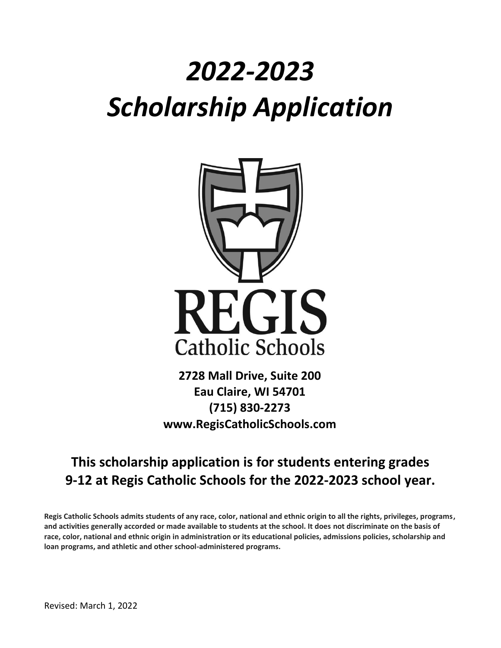# *2022-2023 Scholarship Application*



**2728 Mall Drive, Suite 200 Eau Claire, WI 54701 (715) 830-2273 www.RegisCatholicSchools.com**

# **This scholarship application is for students entering grades 9-12 at Regis Catholic Schools for the 2022-2023 school year.**

**Regis Catholic Schools admits students of any race, color, national and ethnic origin to all the rights, privileges, programs, and activities generally accorded or made available to students at the school. It does not discriminate on the basis of race, color, national and ethnic origin in administration or its educational policies, admissions policies, scholarship and loan programs, and athletic and other school-administered programs.**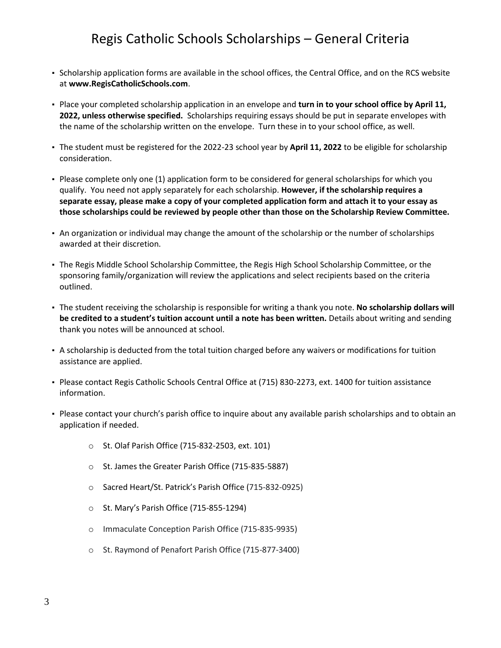# Regis Catholic Schools Scholarships – General Criteria

- Scholarship application forms are available in the school offices, the Central Office, and on the RCS website at **www.RegisCatholicSchools.com**.
- Place your completed scholarship application in an envelope and **turn in to your school office by April 11, 2022, unless otherwise specified.** Scholarships requiring essays should be put in separate envelopes with the name of the scholarship written on the envelope. Turn these in to your school office, as well.
- The student must be registered for the 2022-23 school year by **April 11, 2022** to be eligible for scholarship consideration.
- Please complete only one (1) application form to be considered for general scholarships for which you qualify. You need not apply separately for each scholarship. **However, if the scholarship requires a separate essay, please make a copy of your completed application form and attach it to your essay as those scholarships could be reviewed by people other than those on the Scholarship Review Committee.**
- An organization or individual may change the amount of the scholarship or the number of scholarships awarded at their discretion.
- The Regis Middle School Scholarship Committee, the Regis High School Scholarship Committee, or the sponsoring family/organization will review the applications and select recipients based on the criteria outlined.
- The student receiving the scholarship is responsible for writing a thank you note. **No scholarship dollars will be credited to a student's tuition account until a note has been written.** Details about writing and sending thank you notes will be announced at school.
- A scholarship is deducted from the total tuition charged before any waivers or modifications for tuition assistance are applied.
- Please contact Regis Catholic Schools Central Office at (715) 830-2273, ext. 1400 for tuition assistance information.
- Please contact your church's parish office to inquire about any available parish scholarships and to obtain an application if needed.
	- o St. Olaf Parish Office (715-832-2503, ext. 101)
	- o St. James the Greater Parish Office (715-835-5887)
	- o Sacred Heart/St. Patrick's Parish Office (715-832-0925)
	- o St. Mary's Parish Office (715-855-1294)
	- o Immaculate Conception Parish Office (715-835-9935)
	- o St. Raymond of Penafort Parish Office (715-877-3400)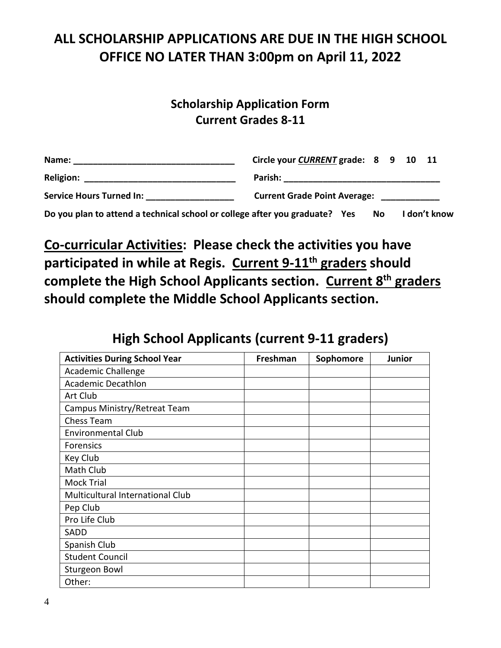# **ALL SCHOLARSHIP APPLICATIONS ARE DUE IN THE HIGH SCHOOL OFFICE NO LATER THAN 3:00pm on April 11, 2022**

## **Scholarship Application Form Current Grades 8-11**

| Name:                                                                       | Circle your CURRENT grade: 8 9 10 11                                                                                            |  |  |  |  |  |
|-----------------------------------------------------------------------------|---------------------------------------------------------------------------------------------------------------------------------|--|--|--|--|--|
|                                                                             | Parish:<br><u> 1990 - Jan James James Jan James James Jan James James Jan James James Jan James James Jan James James Jan J</u> |  |  |  |  |  |
| Service Hours Turned In: Service Hours                                      | <b>Current Grade Point Average:</b>                                                                                             |  |  |  |  |  |
| Do you plan to attend a technical school or college after you graduate? Yes | I don't know<br>No.                                                                                                             |  |  |  |  |  |

**Co-curricular Activities: Please check the activities you have participated in while at Regis. Current 9-11th graders should complete the High School Applicants section. Current 8th graders should complete the Middle School Applicants section.**

# **High School Applicants (current 9-11 graders)**

| <b>Activities During School Year</b> | Freshman | Sophomore | Junior |
|--------------------------------------|----------|-----------|--------|
| <b>Academic Challenge</b>            |          |           |        |
| <b>Academic Decathlon</b>            |          |           |        |
| Art Club                             |          |           |        |
| Campus Ministry/Retreat Team         |          |           |        |
| <b>Chess Team</b>                    |          |           |        |
| <b>Environmental Club</b>            |          |           |        |
| Forensics                            |          |           |        |
| Key Club                             |          |           |        |
| Math Club                            |          |           |        |
| <b>Mock Trial</b>                    |          |           |        |
| Multicultural International Club     |          |           |        |
| Pep Club                             |          |           |        |
| Pro Life Club                        |          |           |        |
| SADD                                 |          |           |        |
| Spanish Club                         |          |           |        |
| <b>Student Council</b>               |          |           |        |
| <b>Sturgeon Bowl</b>                 |          |           |        |
| Other:                               |          |           |        |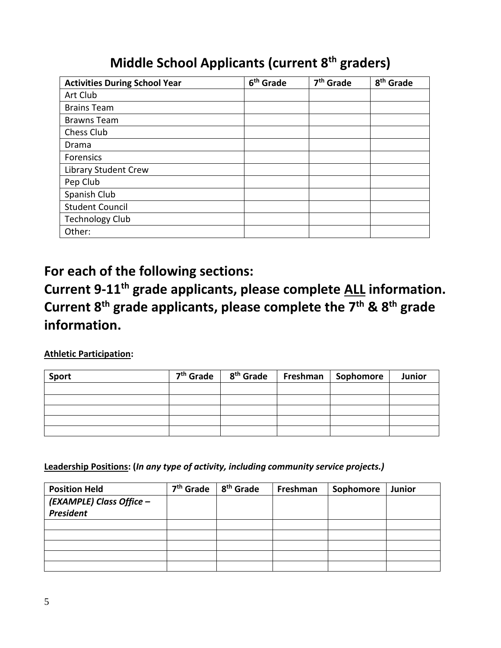# **Middle School Applicants (current 8th graders)**

| <b>Activities During School Year</b> | 6 <sup>th</sup> Grade | 7 <sup>th</sup> Grade | 8 <sup>th</sup> Grade |
|--------------------------------------|-----------------------|-----------------------|-----------------------|
| Art Club                             |                       |                       |                       |
| <b>Brains Team</b>                   |                       |                       |                       |
| <b>Brawns Team</b>                   |                       |                       |                       |
| Chess Club                           |                       |                       |                       |
| Drama                                |                       |                       |                       |
| Forensics                            |                       |                       |                       |
| Library Student Crew                 |                       |                       |                       |
| Pep Club                             |                       |                       |                       |
| Spanish Club                         |                       |                       |                       |
| <b>Student Council</b>               |                       |                       |                       |
| <b>Technology Club</b>               |                       |                       |                       |
| Other:                               |                       |                       |                       |

# **For each of the following sections:**

# **Current 9-11th grade applicants, please complete ALL information. Current 8th grade applicants, please complete the 7th & 8th grade information.**

## **Athletic Participation:**

| <b>Sport</b> |  | $7th$ Grade   $8th$ Grade   Freshman   Sophomore | Junior |
|--------------|--|--------------------------------------------------|--------|
|              |  |                                                  |        |
|              |  |                                                  |        |
|              |  |                                                  |        |
|              |  |                                                  |        |
|              |  |                                                  |        |

**Leadership Positions: (***In any type of activity, including community service projects.)*

| <b>Position Held</b>     | 7 <sup>th</sup> Grade | 8 <sup>th</sup> Grade | Freshman | Sophomore | Junior |
|--------------------------|-----------------------|-----------------------|----------|-----------|--------|
| (EXAMPLE) Class Office - |                       |                       |          |           |        |
| <b>President</b>         |                       |                       |          |           |        |
|                          |                       |                       |          |           |        |
|                          |                       |                       |          |           |        |
|                          |                       |                       |          |           |        |
|                          |                       |                       |          |           |        |
|                          |                       |                       |          |           |        |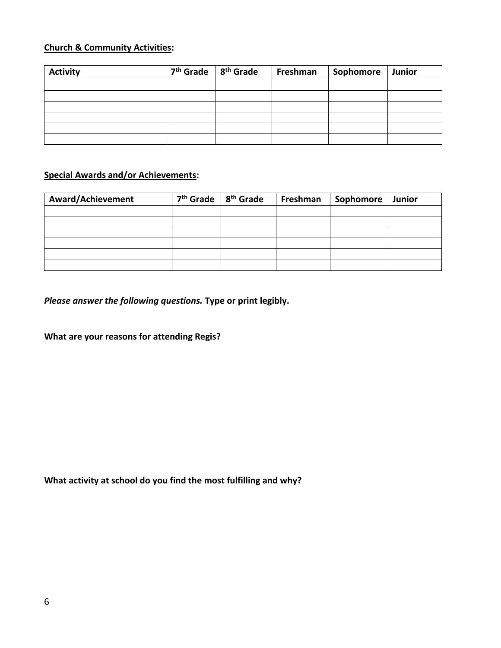#### **Church & Community Activities:**

| <b>Activity</b> | $7th$ Grade $8th$ Grade | Freshman | Sophomore   Junior |  |
|-----------------|-------------------------|----------|--------------------|--|
|                 |                         |          |                    |  |
|                 |                         |          |                    |  |
|                 |                         |          |                    |  |
|                 |                         |          |                    |  |
|                 |                         |          |                    |  |
|                 |                         |          |                    |  |

#### **Special Awards and/or Achievements:**

| <b>Award/Achievement</b> | 7 <sup>th</sup> Grade <sup>1</sup> | 8 <sup>th</sup> Grade | Freshman | Sophomore | Junior |
|--------------------------|------------------------------------|-----------------------|----------|-----------|--------|
|                          |                                    |                       |          |           |        |
|                          |                                    |                       |          |           |        |
|                          |                                    |                       |          |           |        |
|                          |                                    |                       |          |           |        |
|                          |                                    |                       |          |           |        |
|                          |                                    |                       |          |           |        |

*Please answer the following questions.* **Type or print legibly.**

**What are your reasons for attending Regis?**

**What activity at school do you find the most fulfilling and why?**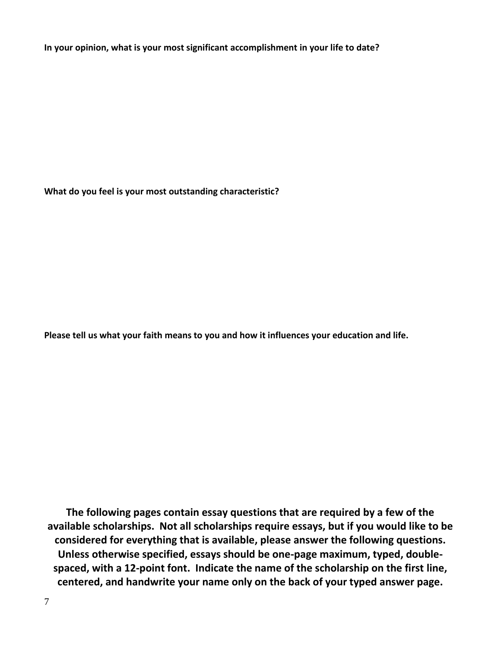**In your opinion, what is your most significant accomplishment in your life to date?**

**What do you feel is your most outstanding characteristic?**

**Please tell us what your faith means to you and how it influences your education and life.**

**The following pages contain essay questions that are required by a few of the available scholarships. Not all scholarships require essays, but if you would like to be considered for everything that is available, please answer the following questions. Unless otherwise specified, essays should be one-page maximum, typed, doublespaced, with a 12-point font. Indicate the name of the scholarship on the first line, centered, and handwrite your name only on the back of your typed answer page.**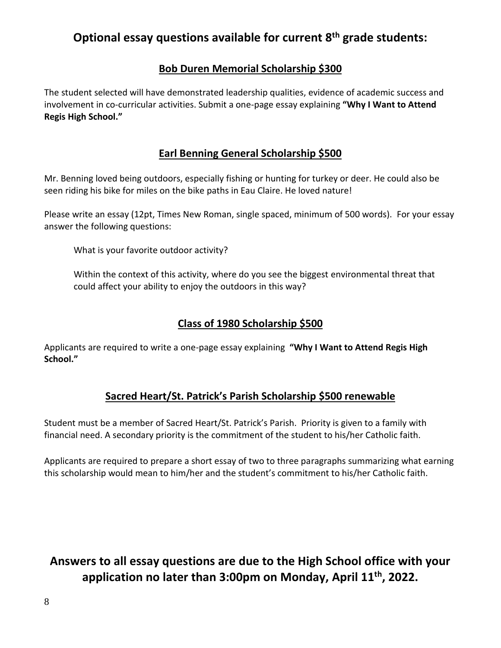## **Optional essay questions available for current 8th grade students:**

## **Bob Duren Memorial Scholarship \$300**

The student selected will have demonstrated leadership qualities, evidence of academic success and involvement in co-curricular activities. Submit a one-page essay explaining **"Why I Want to Attend Regis High School."**

## **Earl Benning General Scholarship \$500**

Mr. Benning loved being outdoors, especially fishing or hunting for turkey or deer. He could also be seen riding his bike for miles on the bike paths in Eau Claire. He loved nature!

Please write an essay (12pt, Times New Roman, single spaced, minimum of 500 words). For your essay answer the following questions:

What is your favorite outdoor activity?

Within the context of this activity, where do you see the biggest environmental threat that could affect your ability to enjoy the outdoors in this way?

## **Class of 1980 Scholarship \$500**

Applicants are required to write a one-page essay explaining **"Why I Want to Attend Regis High School."**

## **Sacred Heart/St. Patrick's Parish Scholarship \$500 renewable**

Student must be a member of Sacred Heart/St. Patrick's Parish. Priority is given to a family with financial need. A secondary priority is the commitment of the student to his/her Catholic faith.

Applicants are required to prepare a short essay of two to three paragraphs summarizing what earning this scholarship would mean to him/her and the student's commitment to his/her Catholic faith.

## **Answers to all essay questions are due to the High School office with your application no later than 3:00pm on Monday, April 11th, 2022.**